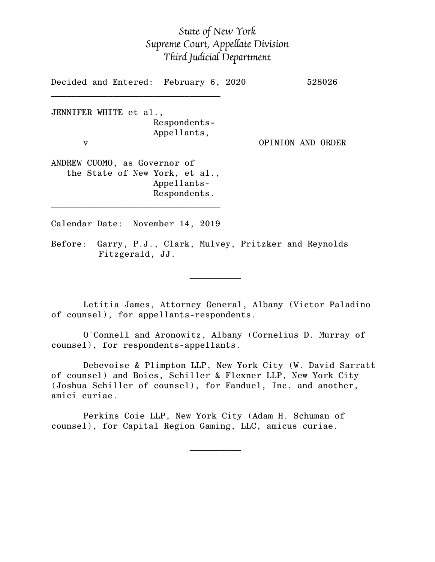# *State of New York Supreme Court, Appellate Division Third Judicial Department*

Decided and Entered: February 6, 2020 528026  $\mathcal{L}_\text{max}$ JENNIFER WHITE et al., Respondents-Appellants, v OPINION AND ORDER ANDREW CUOMO, as Governor of the State of New York, et al., Appellants-Respondents.  $\mathcal{L}_\text{max}$ Calendar Date: November 14, 2019 Before: Garry, P.J., Clark, Mulvey, Pritzker and Reynolds Fitzgerald, JJ.

Letitia James, Attorney General, Albany (Victor Paladino of counsel), for appellants-respondents.

 $\mathcal{L}_\text{max}$  and  $\mathcal{L}_\text{max}$  are the set of  $\mathcal{L}_\text{max}$  . The set of  $\mathcal{L}_\text{max}$ 

 $\mathcal{L}_\text{max}$  and  $\mathcal{L}_\text{max}$  are the set of  $\mathcal{L}_\text{max}$  . The set of  $\mathcal{L}_\text{max}$ 

O'Connell and Aronowitz, Albany (Cornelius D. Murray of counsel), for respondents-appellants.

Debevoise & Plimpton LLP, New York City (W. David Sarratt of counsel) and Boies, Schiller & Flexner LLP, New York City (Joshua Schiller of counsel), for Fanduel, Inc. and another, amici curiae.

Perkins Coie LLP, New York City (Adam H. Schuman of counsel), for Capital Region Gaming, LLC, amicus curiae.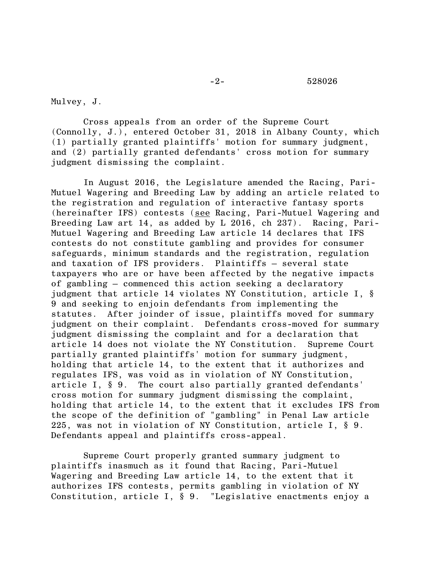Mulvey, J.

Cross appeals from an order of the Supreme Court (Connolly, J.), entered October 31, 2018 in Albany County, which (1) partially granted plaintiffs' motion for summary judgment, and (2) partially granted defendants' cross motion for summary judgment dismissing the complaint.

In August 2016, the Legislature amended the Racing, Pari-Mutuel Wagering and Breeding Law by adding an article related to the registration and regulation of interactive fantasy sports (hereinafter IFS) contests (see Racing, Pari-Mutuel Wagering and Breeding Law art 14, as added by L 2016, ch 237). Racing, Pari-Mutuel Wagering and Breeding Law article 14 declares that IFS contests do not constitute gambling and provides for consumer safeguards, minimum standards and the registration, regulation and taxation of IFS providers. Plaintiffs – several state taxpayers who are or have been affected by the negative impacts of gambling – commenced this action seeking a declaratory judgment that article 14 violates NY Constitution, article I, § 9 and seeking to enjoin defendants from implementing the statutes. After joinder of issue, plaintiffs moved for summary judgment on their complaint. Defendants cross-moved for summary judgment dismissing the complaint and for a declaration that article 14 does not violate the NY Constitution. Supreme Court partially granted plaintiffs' motion for summary judgment, holding that article 14, to the extent that it authorizes and regulates IFS, was void as in violation of NY Constitution, article I, § 9. The court also partially granted defendants' cross motion for summary judgment dismissing the complaint, holding that article 14, to the extent that it excludes IFS from the scope of the definition of "gambling" in Penal Law article 225, was not in violation of NY Constitution, article I, § 9. Defendants appeal and plaintiffs cross-appeal.

Supreme Court properly granted summary judgment to plaintiffs inasmuch as it found that Racing, Pari-Mutuel Wagering and Breeding Law article 14, to the extent that it authorizes IFS contests, permits gambling in violation of NY Constitution, article I, § 9. "Legislative enactments enjoy a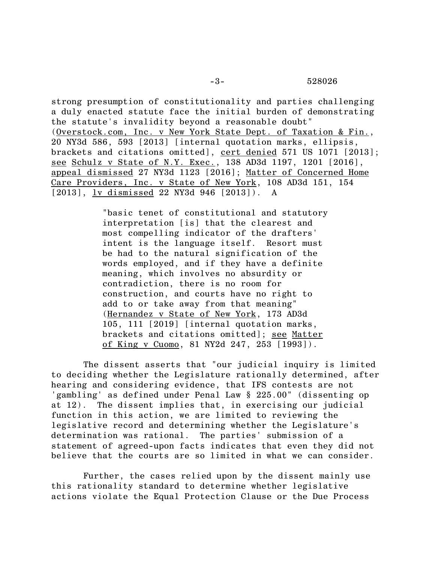strong presumption of constitutionality and parties challenging a duly enacted statute face the initial burden of demonstrating the statute's invalidity beyond a reasonable doubt" (Overstock.com, Inc. v New York State Dept. of Taxation & Fin., 20 NY3d 586, 593 [2013] [internal quotation marks, ellipsis, brackets and citations omitted], cert denied 571 US 1071 [2013]; see Schulz v State of N.Y. Exec., 138 AD3d 1197, 1201 [2016], appeal dismissed 27 NY3d 1123 [2016]; Matter of Concerned Home Care Providers, Inc. v State of New York, 108 AD3d 151, 154 [2013], <u>lv dismissed</u> 22 NY3d 946 [2013]). A

> "basic tenet of constitutional and statutory interpretation [is] that the clearest and most compelling indicator of the drafters' intent is the language itself. Resort must be had to the natural signification of the words employed, and if they have a definite meaning, which involves no absurdity or contradiction, there is no room for construction, and courts have no right to add to or take away from that meaning" (Hernandez v State of New York, 173 AD3d 105, 111 [2019] [internal quotation marks, brackets and citations omitted]; see Matter of King v Cuomo, 81 NY2d 247, 253 [1993]).

The dissent asserts that "our judicial inquiry is limited to deciding whether the Legislature rationally determined, after hearing and considering evidence, that IFS contests are not 'gambling' as defined under Penal Law § 225.00" (dissenting op at 12). The dissent implies that, in exercising our judicial function in this action, we are limited to reviewing the legislative record and determining whether the Legislature's determination was rational. The parties' submission of a statement of agreed-upon facts indicates that even they did not believe that the courts are so limited in what we can consider.

Further, the cases relied upon by the dissent mainly use this rationality standard to determine whether legislative actions violate the Equal Protection Clause or the Due Process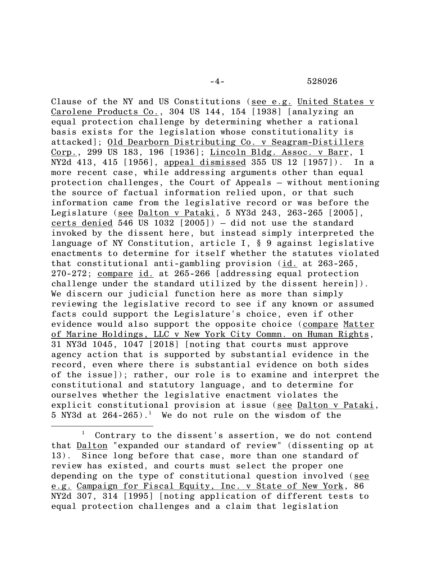Clause of the NY and US Constitutions (see e.g. United States v Carolene Products Co., 304 US 144, 154 [1938] [analyzing an equal protection challenge by determining whether a rational basis exists for the legislation whose constitutionality is attacked]; Old Dearborn Distributing Co. v Seagram-Distillers Corp., 299 US 183, 196 [1936]; Lincoln Bldg. Assoc. v Barr, 1 NY2d 413, 415 [1956], appeal dismissed 355 US 12 [1957]). In a more recent case, while addressing arguments other than equal protection challenges, the Court of Appeals – without mentioning the source of factual information relied upon, or that such information came from the legislative record or was before the Legislature (see Dalton v Pataki, 5 NY3d 243, 263-265 [2005], certs denied 546 US 1032 [2005]) – did not use the standard invoked by the dissent here, but instead simply interpreted the language of NY Constitution, article I, § 9 against legislative enactments to determine for itself whether the statutes violated that constitutional anti-gambling provision (id. at 263-265, 270-272; compare id. at 265-266 [addressing equal protection challenge under the standard utilized by the dissent herein]). We discern our judicial function here as more than simply reviewing the legislative record to see if any known or assumed facts could support the Legislature's choice, even if other evidence would also support the opposite choice (compare Matter of Marine Holdings, LLC v New York City Commn. on Human Rights, 31 NY3d 1045, 1047 [2018] [noting that courts must approve agency action that is supported by substantial evidence in the record, even where there is substantial evidence on both sides of the issue]); rather, our role is to examine and interpret the constitutional and statutory language, and to determine for ourselves whether the legislative enactment violates the explicit constitutional provision at issue (see Dalton v Pataki,  $5$  NY3d at  $264-265$ ).<sup>1</sup> We do not rule on the wisdom of the

Contrary to the dissent's assertion, we do not contend that Dalton "expanded our standard of review" (dissenting op at 13). Since long before that case, more than one standard of review has existed, and courts must select the proper one depending on the type of constitutional question involved (see e.g. Campaign for Fiscal Equity, Inc. v State of New York, 86 NY2d 307, 314 [1995] [noting application of different tests to equal protection challenges and a claim that legislation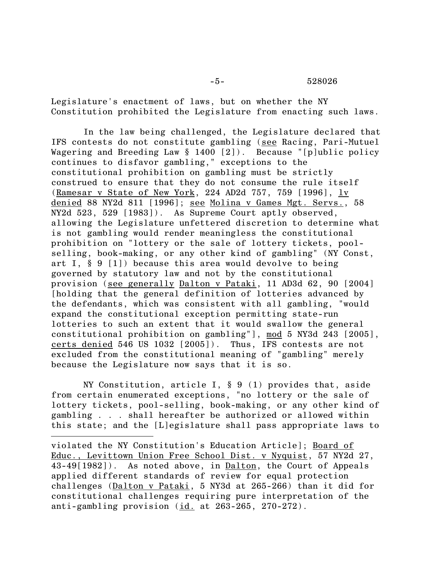-5- 528026

Legislature's enactment of laws, but on whether the NY Constitution prohibited the Legislature from enacting such laws.

In the law being challenged, the Legislature declared that IFS contests do not constitute gambling (see Racing, Pari-Mutuel Wagering and Breeding Law § 1400 [2]). Because "[p]ublic policy continues to disfavor gambling," exceptions to the constitutional prohibition on gambling must be strictly construed to ensure that they do not consume the rule itself (Ramesar v State of New York, 224 AD2d 757, 759 [1996], lv denied 88 NY2d 811 [1996]; see Molina v Games Mgt. Servs., 58 NY2d 523, 529 [1983]). As Supreme Court aptly observed, allowing the Legislature unfettered discretion to determine what is not gambling would render meaningless the constitutional prohibition on "lottery or the sale of lottery tickets, poolselling, book-making, or any other kind of gambling" (NY Const, art I, § 9 [1]) because this area would devolve to being governed by statutory law and not by the constitutional provision (see generally Dalton v Pataki, 11 AD3d 62, 90 [2004] [holding that the general definition of lotteries advanced by the defendants, which was consistent with all gambling, "would expand the constitutional exception permitting state-run lotteries to such an extent that it would swallow the general constitutional prohibition on gambling"], mod 5 NY3d 243 [2005], certs denied 546 US 1032 [2005]). Thus, IFS contests are not excluded from the constitutional meaning of "gambling" merely because the Legislature now says that it is so.

NY Constitution, article I, § 9 (1) provides that, aside from certain enumerated exceptions, "no lottery or the sale of lottery tickets, pool-selling, book-making, or any other kind of gambling . . . shall hereafter be authorized or allowed within this state; and the [L]egislature shall pass appropriate laws to

violated the NY Constitution's Education Article]; Board of Educ., Levittown Union Free School Dist. v Nyquist, 57 NY2d 27, 43-49[1982]). As noted above, in Dalton, the Court of Appeals applied different standards of review for equal protection challenges (Dalton v Pataki, 5 NY3d at 265-266) than it did for constitutional challenges requiring pure interpretation of the anti-gambling provision (id. at 263-265, 270-272).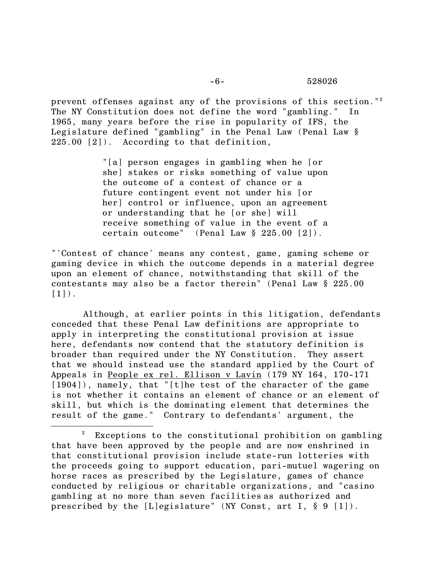prevent offenses against any of the provisions of this section."<sup>2</sup> The NY Constitution does not define the word "gambling." In 1965, many years before the rise in popularity of IFS, the Legislature defined "gambling" in the Penal Law (Penal Law § 225.00 [2]). According to that definition,

> "[a] person engages in gambling when he [or she] stakes or risks something of value upon the outcome of a contest of chance or a future contingent event not under his [or her] control or influence, upon an agreement or understanding that he [or she] will receive something of value in the event of a certain outcome" (Penal Law § 225.00 [2]).

"'Contest of chance' means any contest, game, gaming scheme or gaming device in which the outcome depends in a material degree upon an element of chance, notwithstanding that skill of the contestants may also be a factor therein" (Penal Law § 225.00  $[1]$ .

Although, at earlier points in this litigation, defendants conceded that these Penal Law definitions are appropriate to apply in interpreting the constitutional provision at issue here, defendants now contend that the statutory definition is broader than required under the NY Constitution. They assert that we should instead use the standard applied by the Court of Appeals in People ex rel. Ellison v Lavin (179 NY 164, 170-171 [1904]), namely, that "[t]he test of the character of the game is not whether it contains an element of chance or an element of skill, but which is the dominating element that determines the result of the game." Contrary to defendants' argument, the

Exceptions to the constitutional prohibition on gambling that have been approved by the people and are now enshrined in that constitutional provision include state-run lotteries with the proceeds going to support education, pari-mutuel wagering on horse races as prescribed by the Legislature, games of chance conducted by religious or charitable organizations, and "casino gambling at no more than seven facilities as authorized and prescribed by the [L]egislature" (NY Const, art I, § 9 [1]).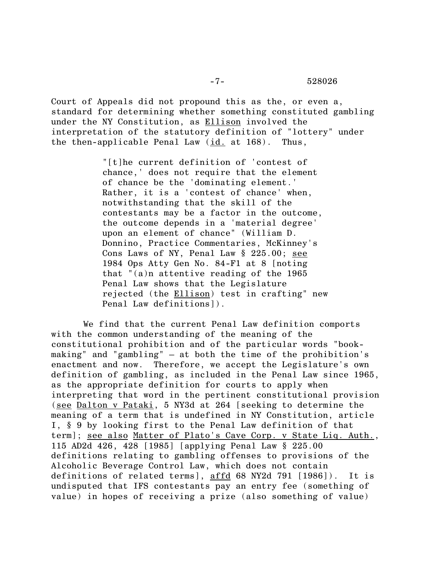Court of Appeals did not propound this as the, or even a, standard for determining whether something constituted gambling under the NY Constitution, as Ellison involved the interpretation of the statutory definition of "lottery" under the then-applicable Penal Law (id. at 168). Thus,

> "[t]he current definition of 'contest of chance,' does not require that the element of chance be the 'dominating element.' Rather, it is a 'contest of chance' when, notwithstanding that the skill of the contestants may be a factor in the outcome, the outcome depends in a 'material degree' upon an element of chance" (William D. Donnino, Practice Commentaries, McKinney's Cons Laws of NY, Penal Law § 225.00; see 1984 Ops Atty Gen No. 84-F1 at 8 [noting that "(a)n attentive reading of the 1965 Penal Law shows that the Legislature rejected (the Ellison) test in crafting" new Penal Law definitions]).

We find that the current Penal Law definition comports with the common understanding of the meaning of the constitutional prohibition and of the particular words "bookmaking" and "gambling" – at both the time of the prohibition's enactment and now. Therefore, we accept the Legislature's own definition of gambling, as included in the Penal Law since 1965, as the appropriate definition for courts to apply when interpreting that word in the pertinent constitutional provision (see Dalton v Pataki, 5 NY3d at 264 [seeking to determine the meaning of a term that is undefined in NY Constitution, article I, § 9 by looking first to the Penal Law definition of that term]; see also Matter of Plato's Cave Corp. v State Liq. Auth., 115 AD2d 426, 428 [1985] [applying Penal Law § 225.00 definitions relating to gambling offenses to provisions of the Alcoholic Beverage Control Law, which does not contain definitions of related terms], affd 68 NY2d 791 [1986]). It is undisputed that IFS contestants pay an entry fee (something of value) in hopes of receiving a prize (also something of value)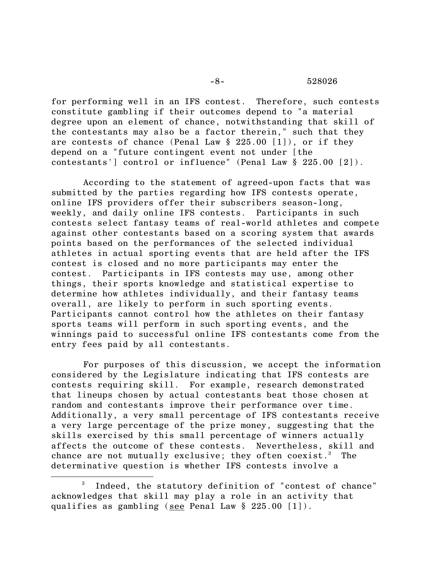#### -8- 528026

for performing well in an IFS contest. Therefore, such contests constitute gambling if their outcomes depend to "a material degree upon an element of chance, notwithstanding that skill of the contestants may also be a factor therein," such that they are contests of chance (Penal Law § 225.00 [1]), or if they depend on a "future contingent event not under [the contestants'] control or influence" (Penal Law § 225.00 [2]).

According to the statement of agreed-upon facts that was submitted by the parties regarding how IFS contests operate, online IFS providers offer their subscribers season-long, weekly, and daily online IFS contests. Participants in such contests select fantasy teams of real-world athletes and compete against other contestants based on a scoring system that awards points based on the performances of the selected individual athletes in actual sporting events that are held after the IFS contest is closed and no more participants may enter the contest. Participants in IFS contests may use, among other things, their sports knowledge and statistical expertise to determine how athletes individually, and their fantasy teams overall, are likely to perform in such sporting events. Participants cannot control how the athletes on their fantasy sports teams will perform in such sporting events, and the winnings paid to successful online IFS contestants come from the entry fees paid by all contestants.

For purposes of this discussion, we accept the information considered by the Legislature indicating that IFS contests are contests requiring skill. For example, research demonstrated that lineups chosen by actual contestants beat those chosen at random and contestants improve their performance over time. Additionally, a very small percentage of IFS contestants receive a very large percentage of the prize money, suggesting that the skills exercised by this small percentage of winners actually affects the outcome of these contests. Nevertheless, skill and chance are not mutually exclusive; they often coexist.<sup>3</sup> The determinative question is whether IFS contests involve a

<sup>3</sup> Indeed, the statutory definition of "contest of chance" acknowledges that skill may play a role in an activity that qualifies as gambling (see Penal Law § 225.00 [1]).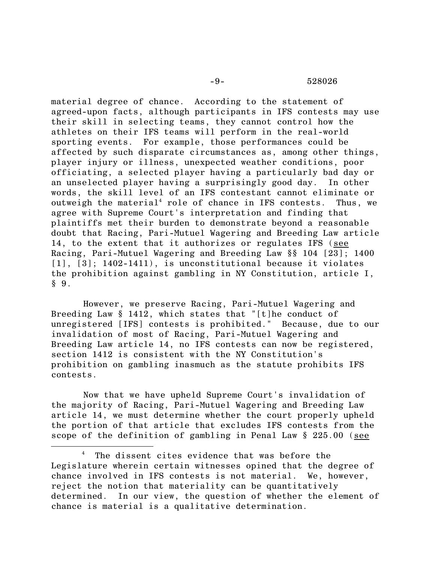#### -9- 528026

material degree of chance. According to the statement of agreed-upon facts, although participants in IFS contests may use their skill in selecting teams, they cannot control how the athletes on their IFS teams will perform in the real-world sporting events. For example, those performances could be affected by such disparate circumstances as, among other things, player injury or illness, unexpected weather conditions, poor officiating, a selected player having a particularly bad day or an unselected player having a surprisingly good day. In other words, the skill level of an IFS contestant cannot eliminate or outweigh the material<sup>4</sup> role of chance in IFS contests. Thus, we agree with Supreme Court's interpretation and finding that plaintiffs met their burden to demonstrate beyond a reasonable doubt that Racing, Pari-Mutuel Wagering and Breeding Law article 14, to the extent that it authorizes or regulates IFS (see Racing, Pari-Mutuel Wagering and Breeding Law §§ 104 [23]; 1400 [1], [3]; 1402-1411), is unconstitutional because it violates the prohibition against gambling in NY Constitution, article I,  $§ 9.$ 

However, we preserve Racing, Pari-Mutuel Wagering and Breeding Law § 1412, which states that "[t]he conduct of unregistered [IFS] contests is prohibited." Because, due to our invalidation of most of Racing, Pari-Mutuel Wagering and Breeding Law article 14, no IFS contests can now be registered, section 1412 is consistent with the NY Constitution's prohibition on gambling inasmuch as the statute prohibits IFS contests.

Now that we have upheld Supreme Court's invalidation of the majority of Racing, Pari-Mutuel Wagering and Breeding Law article 14, we must determine whether the court properly upheld the portion of that article that excludes IFS contests from the scope of the definition of gambling in Penal Law § 225.00 (see

<sup>&</sup>lt;sup>4</sup> The dissent cites evidence that was before the Legislature wherein certain witnesses opined that the degree of chance involved in IFS contests is not material. We, however, reject the notion that materiality can be quantitatively determined. In our view, the question of whether the element of chance is material is a qualitative determination.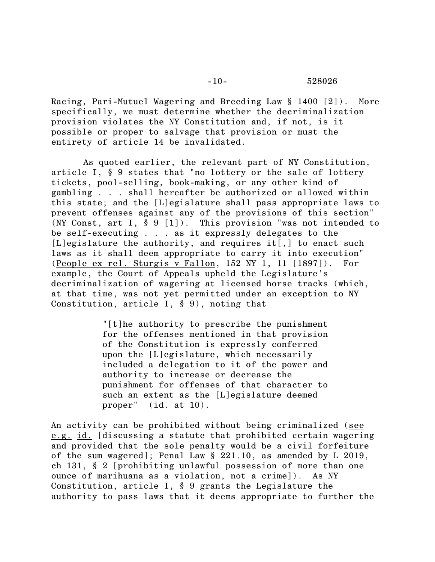Racing, Pari-Mutuel Wagering and Breeding Law § 1400 [2]). More specifically, we must determine whether the decriminalization provision violates the NY Constitution and, if not, is it possible or proper to salvage that provision or must the entirety of article 14 be invalidated.

As quoted earlier, the relevant part of NY Constitution, article I, § 9 states that "no lottery or the sale of lottery tickets, pool-selling, book-making, or any other kind of gambling . . . shall hereafter be authorized or allowed within this state; and the [L]egislature shall pass appropriate laws to prevent offenses against any of the provisions of this section" (NY Const, art I, § 9 [1]). This provision "was not intended to be self-executing . . . as it expressly delegates to the [L]egislature the authority, and requires it<sup>[1]</sup>, to enact such laws as it shall deem appropriate to carry it into execution" (People ex rel. Sturgis v Fallon, 152 NY 1, 11 [1897]). For example, the Court of Appeals upheld the Legislature's decriminalization of wagering at licensed horse tracks (which, at that time, was not yet permitted under an exception to NY Constitution, article I, § 9), noting that

> "[t]he authority to prescribe the punishment for the offenses mentioned in that provision of the Constitution is expressly conferred upon the [L]egislature, which necessarily included a delegation to it of the power and authority to increase or decrease the punishment for offenses of that character to such an extent as the [L]egislature deemed proper"  $(id. at 10)$ .

An activity can be prohibited without being criminalized (see e.g. id. [discussing a statute that prohibited certain wagering and provided that the sole penalty would be a civil forfeiture of the sum wagered]; Penal Law § 221.10, as amended by L 2019, ch 131, § 2 [prohibiting unlawful possession of more than one ounce of marihuana as a violation, not a crime]). As NY Constitution, article I, § 9 grants the Legislature the authority to pass laws that it deems appropriate to further the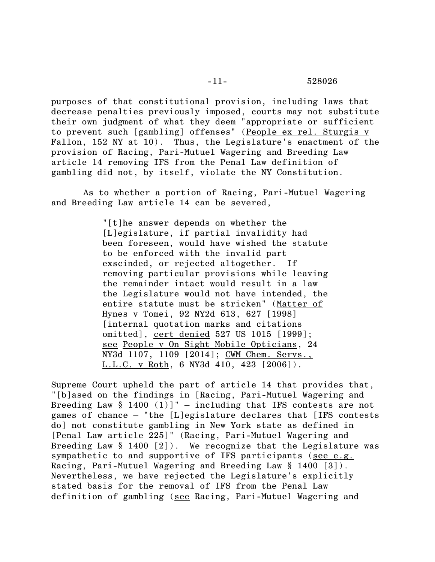purposes of that constitutional provision, including laws that decrease penalties previously imposed, courts may not substitute their own judgment of what they deem "appropriate or sufficient to prevent such [gambling] offenses" (People ex rel. Sturgis v Fallon, 152 NY at 10). Thus, the Legislature's enactment of the provision of Racing, Pari-Mutuel Wagering and Breeding Law article 14 removing IFS from the Penal Law definition of gambling did not, by itself, violate the NY Constitution.

As to whether a portion of Racing, Pari-Mutuel Wagering and Breeding Law article 14 can be severed,

> "[t]he answer depends on whether the [L]egislature, if partial invalidity had been foreseen, would have wished the statute to be enforced with the invalid part exscinded, or rejected altogether. If removing particular provisions while leaving the remainder intact would result in a law the Legislature would not have intended, the entire statute must be stricken" (Matter of Hynes v Tomei, 92 NY2d 613, 627 [1998] [internal quotation marks and citations omitted], cert denied 527 US 1015 [1999]; see People v On Sight Mobile Opticians, 24 NY3d 1107, 1109 [2014]; CWM Chem. Servs., L.L.C. v Roth, 6 NY3d 410, 423 [2006]).

Supreme Court upheld the part of article 14 that provides that, "[b]ased on the findings in [Racing, Pari-Mutuel Wagering and Breeding Law  $\S$  1400 (1)]" – including that IFS contests are not games of chance – "the [L]egislature declares that [IFS contests do] not constitute gambling in New York state as defined in [Penal Law article 225]" (Racing, Pari-Mutuel Wagering and Breeding Law  $\S$  1400 [2]). We recognize that the Legislature was sympathetic to and supportive of IFS participants (see e.g. Racing, Pari-Mutuel Wagering and Breeding Law § 1400 [3]). Nevertheless, we have rejected the Legislature's explicitly stated basis for the removal of IFS from the Penal Law definition of gambling (see Racing, Pari-Mutuel Wagering and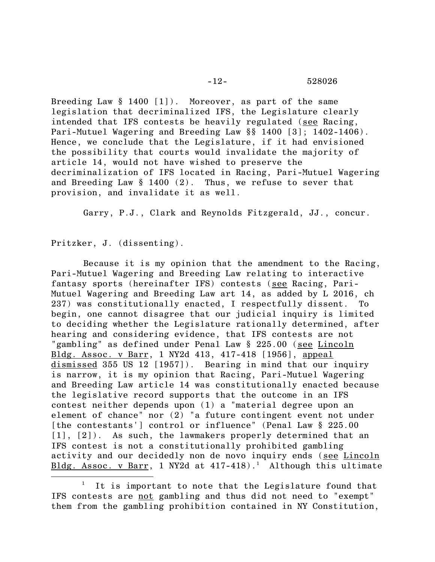Breeding Law § 1400 [1]). Moreover, as part of the same legislation that decriminalized IFS, the Legislature clearly intended that IFS contests be heavily regulated (see Racing, Pari-Mutuel Wagering and Breeding Law §§ 1400 [3]; 1402-1406). Hence, we conclude that the Legislature, if it had envisioned the possibility that courts would invalidate the majority of article 14, would not have wished to preserve the decriminalization of IFS located in Racing, Pari-Mutuel Wagering and Breeding Law  $\S$  1400 (2). Thus, we refuse to sever that provision, and invalidate it as well.

Garry, P.J., Clark and Reynolds Fitzgerald, JJ., concur.

Pritzker, J. (dissenting).

Because it is my opinion that the amendment to the Racing, Pari-Mutuel Wagering and Breeding Law relating to interactive fantasy sports (hereinafter IFS) contests (see Racing, Pari-Mutuel Wagering and Breeding Law art 14, as added by L 2016, ch 237) was constitutionally enacted, I respectfully dissent. To begin, one cannot disagree that our judicial inquiry is limited to deciding whether the Legislature rationally determined, after hearing and considering evidence, that IFS contests are not "gambling" as defined under Penal Law § 225.00 (see Lincoln Bldg. Assoc. v Barr, 1 NY2d 413, 417-418 [1956], appeal dismissed 355 US 12 [1957]). Bearing in mind that our inquiry is narrow, it is my opinion that Racing, Pari-Mutuel Wagering and Breeding Law article 14 was constitutionally enacted because the legislative record supports that the outcome in an IFS contest neither depends upon (1) a "material degree upon an element of chance" nor (2) "a future contingent event not under [the contestants'] control or influence" (Penal Law § 225.00 [1], [2]). As such, the lawmakers properly determined that an IFS contest is not a constitutionally prohibited gambling activity and our decidedly non de novo inquiry ends (see Lincoln Bldg. Assoc. v Barr, 1 NY2d at  $417-418$ ).<sup>1</sup> Although this ultimate

It is important to note that the Legislature found that IFS contests are not gambling and thus did not need to "exempt" them from the gambling prohibition contained in NY Constitution,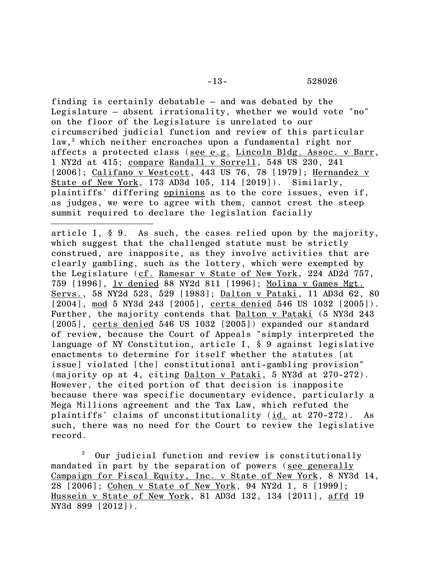finding is certainly debatable – and was debated by the Legislature – absent irrationality, whether we would vote "no" on the floor of the Legislature is unrelated to our circumscribed judicial function and review of this particular law,<sup>2</sup> which neither encroaches upon a fundamental right nor affects a protected class (see e.g. Lincoln Bldg. Assoc. v Barr, 1 NY2d at 415; compare Randall v Sorrell, 548 US 230, 241 [2006]; Califano v Westcott, 443 US 76, 78 [1979]; Hernandez v State of New York, 173 AD3d 105, 114 [2019]). Similarly, plaintiffs' differing opinions as to the core issues, even if, as judges, we were to agree with them, cannot crest the steep summit required to declare the legislation facially

article I, § 9. As such, the cases relied upon by the majority, which suggest that the challenged statute must be strictly construed, are inapposite, as they involve activities that are clearly gambling, such as the lottery, which were exempted by the Legislature (cf. Ramesar v State of New York, 224 AD2d 757, 759 [1996], lv denied 88 NY2d 811 [1996]; Molina v Games Mgt. Servs., 58 NY2d 523, 529 [1983]; Dalton v Pataki, 11 AD3d 62, 80 [2004], mod 5 NY3d 243 [2005], certs denied 546 US 1032 [2005]). Further, the majority contends that Dalton v Pataki (5 NY3d 243 [2005], certs denied 546 US 1032 [2005]) expanded our standard of review, because the Court of Appeals "simply interpreted the language of NY Constitution, article I, § 9 against legislative enactments to determine for itself whether the statutes [at issue] violated [the] constitutional anti-gambling provision" (majority op at 4, citing Dalton v Pataki, 5 NY3d at 270-272). However, the cited portion of that decision is inapposite because there was specific documentary evidence, particularly a Mega Millions agreement and the Tax Law, which refuted the plaintiffs' claims of unconstitutionality (id. at 270-272). As such, there was no need for the Court to review the legislative record.

<sup>2</sup> Our judicial function and review is constitutionally mandated in part by the separation of powers (see generally Campaign for Fiscal Equity, Inc. v State of New York, 8 NY3d 14, 28 [2006]; Cohen v State of New York, 94 NY2d 1, 8 [1999]; Hussein v State of New York, 81 AD3d 132, 134 [2011], affd 19 NY3d 899 [2012]).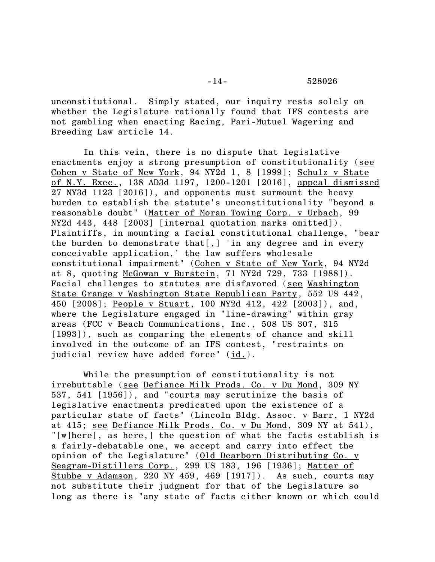unconstitutional. Simply stated, our inquiry rests solely on whether the Legislature rationally found that IFS contests are not gambling when enacting Racing, Pari-Mutuel Wagering and Breeding Law article 14.

In this vein, there is no dispute that legislative enactments enjoy a strong presumption of constitutionality (see Cohen v State of New York, 94 NY2d 1, 8 [1999]; Schulz v State of N.Y. Exec., 138 AD3d 1197, 1200-1201 [2016], appeal dismissed 27 NY3d 1123 [2016]), and opponents must surmount the heavy burden to establish the statute's unconstitutionality "beyond a reasonable doubt" (Matter of Moran Towing Corp. v Urbach, 99 NY2d 443, 448 [2003] [internal quotation marks omitted]). Plaintiffs, in mounting a facial constitutional challenge, "bear the burden to demonstrate that[,] 'in any degree and in every conceivable application,' the law suffers wholesale constitutional impairment" (Cohen v State of New York, 94 NY2d at 8, quoting McGowan v Burstein, 71 NY2d 729, 733 [1988]). Facial challenges to statutes are disfavored (see Washington State Grange v Washington State Republican Party, 552 US 442, 450 [2008]; People v Stuart, 100 NY2d 412, 422 [2003]), and, where the Legislature engaged in "line-drawing" within gray areas (FCC v Beach Communications, Inc., 508 US 307, 315 [1993]), such as comparing the elements of chance and skill involved in the outcome of an IFS contest, "restraints on judicial review have added force" (id.).

While the presumption of constitutionality is not irrebuttable (see Defiance Milk Prods. Co. v Du Mond, 309 NY 537, 541 [1956]), and "courts may scrutinize the basis of legislative enactments predicated upon the existence of a particular state of facts" (Lincoln Bldg. Assoc. v Barr, 1 NY2d at 415; see Defiance Milk Prods. Co. v Du Mond, 309 NY at 541), "[w]here[, as here,] the question of what the facts establish is a fairly-debatable one, we accept and carry into effect the opinion of the Legislature" (Old Dearborn Distributing Co. v Seagram-Distillers Corp., 299 US 183, 196 [1936]; Matter of Stubbe v Adamson, 220 NY 459, 469 [1917]). As such, courts may not substitute their judgment for that of the Legislature so long as there is "any state of facts either known or which could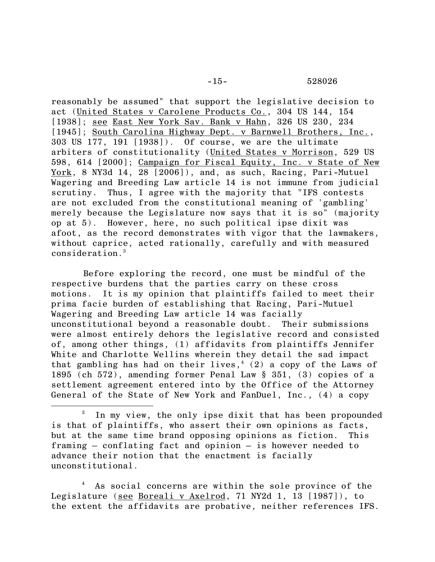reasonably be assumed" that support the legislative decision to act (United States v Carolene Products Co., 304 US 144, 154 [1938]; see East New York Sav. Bank v Hahn, 326 US 230, 234 [1945]; South Carolina Highway Dept. v Barnwell Brothers, Inc., 303 US 177, 191 [1938]). Of course, we are the ultimate arbiters of constitutionality (United States v Morrison, 529 US 598, 614 [2000]; Campaign for Fiscal Equity, Inc. v State of New York, 8 NY3d 14, 28 [2006]), and, as such, Racing, Pari-Mutuel Wagering and Breeding Law article 14 is not immune from judicial scrutiny. Thus, I agree with the majority that "IFS contests are not excluded from the constitutional meaning of 'gambling' merely because the Legislature now says that it is so" (majority op at 5). However, here, no such political ipse dixit was afoot, as the record demonstrates with vigor that the lawmakers, without caprice, acted rationally, carefully and with measured consideration.<sup>3</sup>

Before exploring the record, one must be mindful of the respective burdens that the parties carry on these cross motions. It is my opinion that plaintiffs failed to meet their prima facie burden of establishing that Racing, Pari-Mutuel Wagering and Breeding Law article 14 was facially unconstitutional beyond a reasonable doubt. Their submissions were almost entirely dehors the legislative record and consisted of, among other things, (1) affidavits from plaintiffs Jennifer White and Charlotte Wellins wherein they detail the sad impact that gambling has had on their lives,<sup>4</sup> (2) a copy of the Laws of 1895 (ch 572), amending former Penal Law § 351, (3) copies of a settlement agreement entered into by the Office of the Attorney General of the State of New York and FanDuel, Inc., (4) a copy

In my view, the only ipse dixit that has been propounded is that of plaintiffs, who assert their own opinions as facts, but at the same time brand opposing opinions as fiction. This framing – conflating fact and opinion – is however needed to advance their notion that the enactment is facially unconstitutional.

As social concerns are within the sole province of the Legislature (see Boreali v Axelrod, 71 NY2d 1, 13 [1987]), to the extent the affidavits are probative, neither references IFS.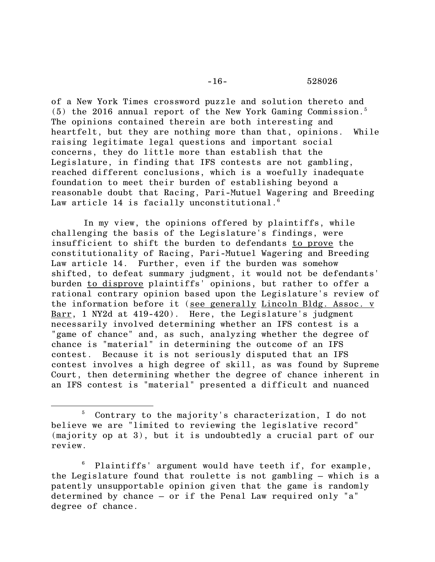### -16- 528026

of a New York Times crossword puzzle and solution thereto and  $(5)$  the 2016 annual report of the New York Gaming Commission.<sup>5</sup> The opinions contained therein are both interesting and heartfelt, but they are nothing more than that, opinions. While raising legitimate legal questions and important social concerns, they do little more than establish that the Legislature, in finding that IFS contests are not gambling, reached different conclusions, which is a woefully inadequate foundation to meet their burden of establishing beyond a reasonable doubt that Racing, Pari-Mutuel Wagering and Breeding Law article 14 is facially unconstitutional. $6$ 

In my view, the opinions offered by plaintiffs, while challenging the basis of the Legislature's findings, were insufficient to shift the burden to defendants to prove the constitutionality of Racing, Pari-Mutuel Wagering and Breeding Law article 14. Further, even if the burden was somehow shifted, to defeat summary judgment, it would not be defendants' burden to disprove plaintiffs' opinions, but rather to offer a rational contrary opinion based upon the Legislature's review of the information before it (see generally Lincoln Bldg. Assoc. v Barr, 1 NY2d at 419-420). Here, the Legislature's judgment necessarily involved determining whether an IFS contest is a "game of chance" and, as such, analyzing whether the degree of chance is "material" in determining the outcome of an IFS contest. Because it is not seriously disputed that an IFS contest involves a high degree of skill, as was found by Supreme Court, then determining whether the degree of chance inherent in an IFS contest is "material" presented a difficult and nuanced

<sup>5</sup> Contrary to the majority's characterization, I do not believe we are "limited to reviewing the legislative record" (majority op at 3), but it is undoubtedly a crucial part of our review.

Plaintiffs' argument would have teeth if, for example, the Legislature found that roulette is not gambling – which is a patently unsupportable opinion given that the game is randomly determined by chance – or if the Penal Law required only "a" degree of chance.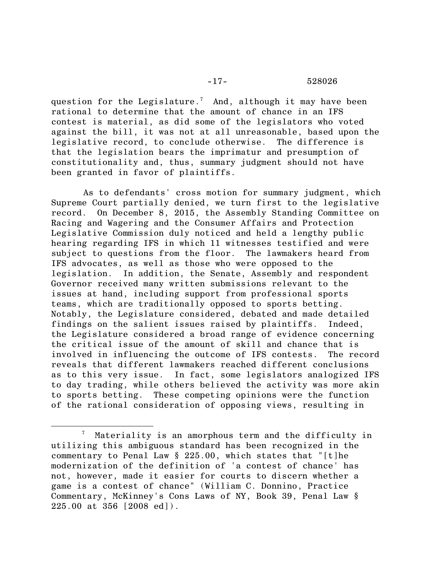question for the Legislature.<sup>7</sup> And, although it may have been rational to determine that the amount of chance in an IFS contest is material, as did some of the legislators who voted against the bill, it was not at all unreasonable, based upon the legislative record, to conclude otherwise. The difference is that the legislation bears the imprimatur and presumption of constitutionality and, thus, summary judgment should not have been granted in favor of plaintiffs.

As to defendants' cross motion for summary judgment, which Supreme Court partially denied, we turn first to the legislative record. On December 8, 2015, the Assembly Standing Committee on Racing and Wagering and the Consumer Affairs and Protection Legislative Commission duly noticed and held a lengthy public hearing regarding IFS in which 11 witnesses testified and were subject to questions from the floor. The lawmakers heard from IFS advocates, as well as those who were opposed to the legislation. In addition, the Senate, Assembly and respondent Governor received many written submissions relevant to the issues at hand, including support from professional sports teams, which are traditionally opposed to sports betting. Notably, the Legislature considered, debated and made detailed findings on the salient issues raised by plaintiffs. Indeed, the Legislature considered a broad range of evidence concerning the critical issue of the amount of skill and chance that is involved in influencing the outcome of IFS contests. The record reveals that different lawmakers reached different conclusions as to this very issue. In fact, some legislators analogized IFS to day trading, while others believed the activity was more akin to sports betting. These competing opinions were the function of the rational consideration of opposing views, resulting in

Materiality is an amorphous term and the difficulty in utilizing this ambiguous standard has been recognized in the commentary to Penal Law § 225.00, which states that "[t]he modernization of the definition of 'a contest of chance' has not, however, made it easier for courts to discern whether a game is a contest of chance" (William C. Donnino, Practice Commentary, McKinney's Cons Laws of NY, Book 39, Penal Law § 225.00 at 356 [2008 ed]).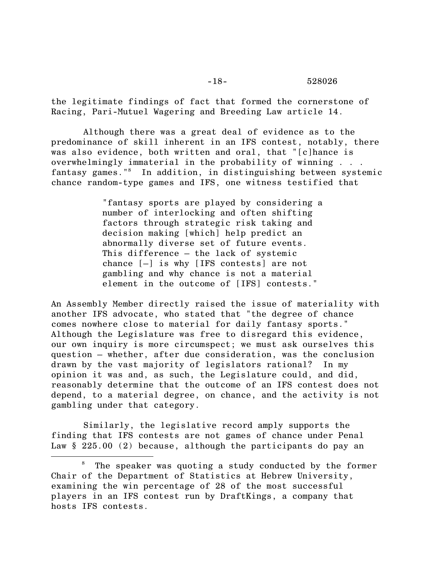### -18- 528026

the legitimate findings of fact that formed the cornerstone of Racing, Pari-Mutuel Wagering and Breeding Law article 14.

Although there was a great deal of evidence as to the predominance of skill inherent in an IFS contest, notably, there was also evidence, both written and oral, that "[c]hance is overwhelmingly immaterial in the probability of winning . . . fantasy games."<sup>8</sup> In addition, in distinguishing between systemic chance random-type games and IFS, one witness testified that

> "fantasy sports are played by considering a number of interlocking and often shifting factors through strategic risk taking and decision making [which] help predict an abnormally diverse set of future events. This difference – the lack of systemic chance [–] is why [IFS contests] are not gambling and why chance is not a material element in the outcome of [IFS] contests."

An Assembly Member directly raised the issue of materiality with another IFS advocate, who stated that "the degree of chance comes nowhere close to material for daily fantasy sports." Although the Legislature was free to disregard this evidence, our own inquiry is more circumspect; we must ask ourselves this question – whether, after due consideration, was the conclusion drawn by the vast majority of legislators rational? In my opinion it was and, as such, the Legislature could, and did, reasonably determine that the outcome of an IFS contest does not depend, to a material degree, on chance, and the activity is not gambling under that category.

Similarly, the legislative record amply supports the finding that IFS contests are not games of chance under Penal Law § 225.00 (2) because, although the participants do pay an

 $8$  The speaker was quoting a study conducted by the former Chair of the Department of Statistics at Hebrew University, examining the win percentage of 28 of the most successful players in an IFS contest run by DraftKings, a company that hosts IFS contests.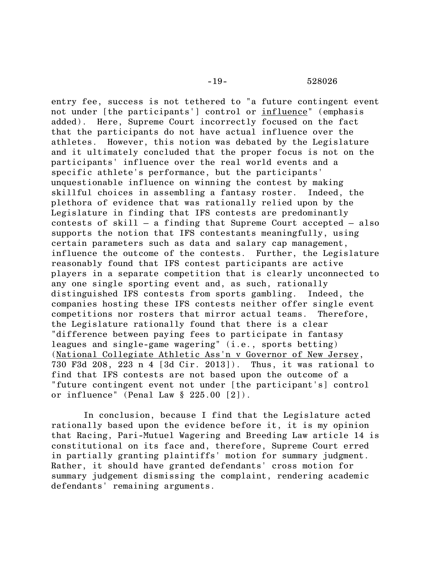entry fee, success is not tethered to "a future contingent event not under [the participants'] control or influence" (emphasis added). Here, Supreme Court incorrectly focused on the fact that the participants do not have actual influence over the athletes. However, this notion was debated by the Legislature and it ultimately concluded that the proper focus is not on the participants' influence over the real world events and a specific athlete's performance, but the participants' unquestionable influence on winning the contest by making skillful choices in assembling a fantasy roster. Indeed, the plethora of evidence that was rationally relied upon by the Legislature in finding that IFS contests are predominantly contests of skill – a finding that Supreme Court accepted – also supports the notion that IFS contestants meaningfully, using certain parameters such as data and salary cap management, influence the outcome of the contests. Further, the Legislature reasonably found that IFS contest participants are active players in a separate competition that is clearly unconnected to any one single sporting event and, as such, rationally distinguished IFS contests from sports gambling. Indeed, the companies hosting these IFS contests neither offer single event competitions nor rosters that mirror actual teams. Therefore, the Legislature rationally found that there is a clear "difference between paying fees to participate in fantasy leagues and single-game wagering" (i.e., sports betting) (National Collegiate Athletic Ass'n v Governor of New Jersey, 730 F3d 208, 223 n 4 [3d Cir. 2013]). Thus, it was rational to find that IFS contests are not based upon the outcome of a "future contingent event not under [the participant's] control or influence" (Penal Law  $\S 225.00 [2]$ ).

In conclusion, because I find that the Legislature acted rationally based upon the evidence before it, it is my opinion that Racing, Pari-Mutuel Wagering and Breeding Law article 14 is constitutional on its face and, therefore, Supreme Court erred in partially granting plaintiffs' motion for summary judgment. Rather, it should have granted defendants' cross motion for summary judgement dismissing the complaint, rendering academic defendants' remaining arguments.